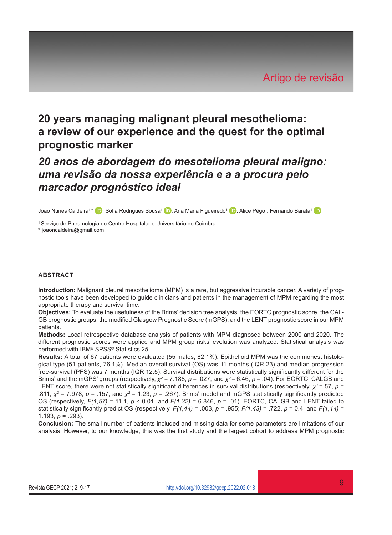# **20 years managing malignant pleural mesothelioma: a review of our experience and the quest for the optimal prognostic marker**

# *20 anos de abordagem do mesotelioma pleural maligno: uma revisão da nossa experiência e a a procura pelo marcador prognóstico ideal*

João Nunes Caldeira<sup>1[,](https://orcid.org/0000-0002-7949-8440)∗</sup> (D), Sofia Rodrigues Sousa1 (D), Ana Maria Figueiredo<sup>1</sup> (D), Alice Pêgo1, Fernando Barata1

1 Serviço de Pneumologia do Centro Hospitalar e Universitário de Coimbra **\*** [joaoncaldeira@gmail.com](mailto:joaoncaldeira@gmail.com)

#### **ABSTRACT**

**Introduction:** Malignant pleural mesothelioma (MPM) is a rare, but aggressive incurable cancer. A variety of prognostic tools have been developed to guide clinicians and patients in the management of MPM regarding the most appropriate therapy and survival time.

**Objectives:** To evaluate the usefulness of the Brims' decision tree analysis, the EORTC prognostic score, the CAL-GB prognostic groups, the modified Glasgow Prognostic Score (mGPS), and the LENT prognostic score in our MPM patients.

**Methods:** Local retrospective database analysis of patients with MPM diagnosed between 2000 and 2020. The different prognostic scores were applied and MPM group risks' evolution was analyzed. Statistical analysis was performed with IBM® SPSS® Statistics 25.

**Results:** A total of 67 patients were evaluated (55 males, 82.1%). Epithelioid MPM was the commonest histological type (51 patients, 76.1%). Median overall survival (OS) was 11 months (IQR 23) and median progression free-survival (PFS) was 7 months (IQR 12.5). Survival distributions were statistically significantly different for the Brims' and the mGPS' groups (respectively, *χ<sup>2</sup>* = 7.188, *p* = .027, and *χ<sup>2</sup>*= 6.46, *p* = .04). For EORTC, CALGB and LENT score, there were not statistically significant differences in survival distributions (respectively, *χ<sup>2</sup>* =.57, *p* = .811; *χ<sup>2</sup>* = 7.978, *p* = .157; and *χ<sup>2</sup>* = 1.23, *p* = .267). Brims' model and mGPS statistically significantly predicted OS (respectively, *F(1,57)* = 11.1, *p* < 0.01, and *F(1,32)* = 6.846, *p* = .01). EORTC, CALGB and LENT failed to statistically significantly predict OS (respectively, *F(1,44)* = .003, *p* = .955; *F(1.43)* = .722, *p* = 0.4; and *F(1,14)* = 1.193, *p* = .293).

**Conclusion:** The small number of patients included and missing data for some parameters are limitations of our analysis. However, to our knowledge, this was the first study and the largest cohort to address MPM prognostic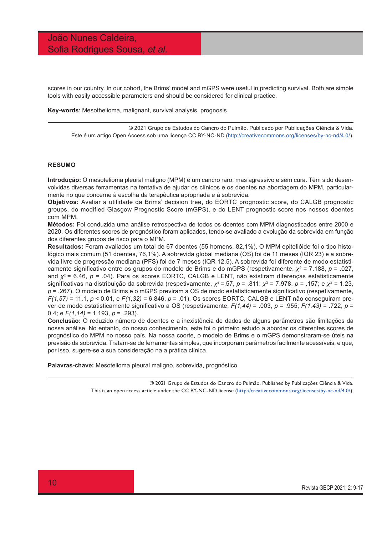# João Nunes Caldeira, Sofia Rodrigues Sousa, *et al.*

scores in our country. In our cohort, the Brims' model and mGPS were useful in predicting survival. Both are simple tools with easily accessible parameters and should be considered for clinical practice.

**Key-words**: Mesothelioma, malignant, survival analysis, prognosis

© 2021 Grupo de Estudos do Cancro do Pulmão. Publicado por Publicações Ciência & Vida. Este é um artigo Open Access sob uma licença CC BY-NC-ND ([http://creativecommons.org/licenses/by-nc-nd/4.0/\)](http://creativecommons.org/licenses/by-nc-nd/4.0/).

#### **RESUMO**

**Introdução:** O mesotelioma pleural maligno (MPM) é um cancro raro, mas agressivo e sem cura. Têm sido desenvolvidas diversas ferramentas na tentativa de ajudar os clínicos e os doentes na abordagem do MPM, particularmente no que concerne à escolha da terapêutica apropriada e à sobrevida.

**Objetivos:** Avaliar a utilidade da Brims' decision tree, do EORTC prognostic score, do CALGB prognostic groups, do modified Glasgow Prognostic Score (mGPS), e do LENT prognostic score nos nossos doentes com MPM.

**Métodos:** Foi conduzida uma análise retrospectiva de todos os doentes com MPM diagnosticados entre 2000 e 2020. Os diferentes scores de prognóstico foram aplicados, tendo-se avaliado a evolução da sobrevida em função dos diferentes grupos de risco para o MPM.

**Resultados:** Foram avaliados um total de 67 doentes (55 homens, 82,1%). O MPM epitelióide foi o tipo histológico mais comum (51 doentes, 76,1%). A sobrevida global mediana (OS) foi de 11 meses (IQR 23) e a sobrevida livre de progressão mediana (PFS) foi de 7 meses (IQR 12,5). A sobrevida foi diferente de modo estatisticamente significativo entre os grupos do modelo de Brims e do mGPS (respetivamente, *χ<sup>2</sup>* = 7.188, *p* = .027, and *χ<sup>2</sup>*= 6.46, *p* = .04). Para os scores EORTC, CALGB e LENT, não existiram diferenças estatisticamente significativas na distribuição da sobrevida (respetivamente, *χ<sup>2</sup>* =.57, *p* = .811; *χ<sup>2</sup>* = 7.978, *p* = .157; e *χ<sup>2</sup>* = 1.23, *p* = .267). O modelo de Brims e o mGPS previram a OS de modo estatisticamente significativo (respetivamente, *F(1,57)* = 11.1, *p* < 0.01, e *F(1,32)* = 6.846, *p* = .01). Os scores EORTC, CALGB e LENT não conseguiram prever de modo estatisticamente significativo a OS (respetivamente, *F(1,44)* = .003, *p* = .955; *F(1.43)* = .722, *p* = 0.4; e *F(1,14)* = 1.193, *p* = .293).

**Conclusão:** O reduzido número de doentes e a inexistência de dados de alguns parâmetros são limitações da nossa análise. No entanto, do nosso conhecimento, este foi o primeiro estudo a abordar os diferentes scores de prognóstico do MPM no nosso país. Na nossa coorte, o modelo de Brims e o mGPS demonstraram-se úteis na previsão da sobrevida. Tratam-se de ferramentas simples, que incorporam parâmetros facilmente acessíveis, e que, por isso, sugere-se a sua consideração na a prática clínica.

**Palavras-chave:** Mesotelioma pleural maligno, sobrevida, prognóstico

© 2021 Grupo de Estudos do Cancro do Pulmão. Published by Publicações Ciência & Vida. This is an open access article under the CC BY-NC-ND license (<http://creativecommons.org/licenses/by-nc-nd/4.0/>).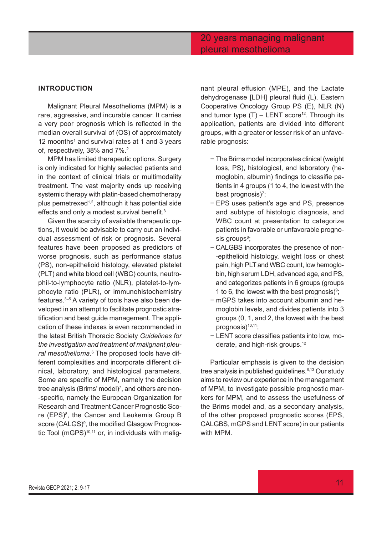# 20 years managing malignant pleural mesothelioma

# **INTRODUCTION**

Malignant Pleural Mesothelioma (MPM) is a rare, aggressive, and incurable cancer. It carries a very poor prognosis which is reflected in the median overall survival of (OS) of approximately 12 moonths<sup>1</sup> and survival rates at 1 and 3 years of, respectively, 38% and 7%.2

MPM has limited therapeutic options. Surgery is only indicated for highly selected patients and in the context of clinical trials or multimodality treatment. The vast majority ends up receiving systemic therapy with platin-based chemotherapy plus pemetrexed<sup> $1,2$ </sup>, although it has potential side effects and only a modest survival benefit.<sup>3</sup>

Given the scarcity of available therapeutic options, it would be advisable to carry out an individual assessment of risk or prognosis. Several features have been proposed as predictors of worse prognosis, such as performance status (PS), non-epithelioid histology, elevated platelet (PLT) and white blood cell (WBC) counts, neutrophil-to-lymphocyte ratio (NLR), platelet-to-lymphocyte ratio (PLR), or immunohistochemistry features.3–5 A variety of tools have also been developed in an attempt to facilitate prognostic stratification and best guide management. The application of these indexes is even recommended in the latest British Thoracic Society *Guidelines for the investigation and treatment of malignant pleural mesothelioma.*6 The proposed tools have different complexities and incorporate different clinical, laboratory, and histological parameters. Some are specific of MPM, namely the decision tree analysis (Brims' model)7 , and others are non- -specific, namely the European Organization for Research and Treatment Cancer Prognostic Score (EPS)<sup>8</sup>, the Cancer and Leukemia Group B score (CALGS)<sup>9</sup>, the modified Glasgow Prognostic Tool (mGPS) $10,11$  or, in individuals with malig-

nant pleural effusion (MPE), and the Lactate dehydrogenase [LDH] pleural fluid (L), Eastern Cooperative Oncology Group PS (E), NLR (N) and tumor type  $(T)$  – LENT score<sup>12</sup>. Through its application, patients are divided into different groups, with a greater or lesser risk of an unfavorable prognosis:

- − The Brims model incorporates clinical (weight loss, PS), histological, and laboratory (hemoglobin, albumin) findings to classifie patients in 4 groups (1 to 4, the lowest with the best prognosis)<sup>7</sup>;
- − EPS uses patient's age and PS, presence and subtype of histologic diagnosis, and WBC count at presentation to categorize patients in favorable or unfavorable prognosis groups<sup>8</sup>;
- − CALGBS incorporates the presence of non- -epithelioid histology, weight loss or chest pain, high PLT and WBC count, low hemoglobin, high serum LDH, advanced age, and PS, and categorizes patients in 6 groups (groups 1 to 6, the lowest with the best prognosis)<sup>9</sup>;
- − mGPS takes into account albumin and hemoglobin levels, and divides patients into 3 groups (0, 1, and 2, the lowest with the best prognosis)<sup>10,11</sup>;
- − LENT score classifies patients into low, moderate, and high-risk groups.12

Particular emphasis is given to the decision tree analysis in published guidelines.<sup>6,13</sup> Our study aims to review our experience in the management of MPM, to investigate possible prognostic markers for MPM, and to assess the usefulness of the Brims model and, as a secondary analysis, of the other proposed prognostic scores (EPS, CALGBS, mGPS and LENT score) in our patients with MPM.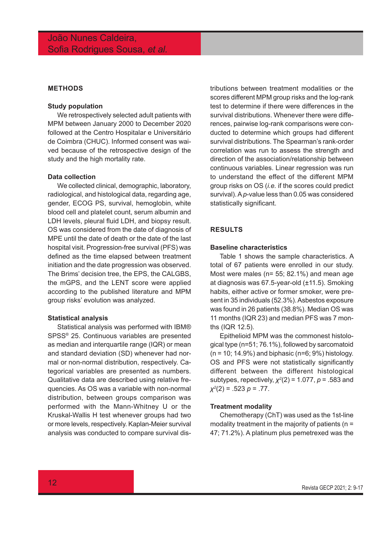# **METHODS**

### **Study population**

We retrospectively selected adult patients with MPM between January 2000 to December 2020 followed at the Centro Hospitalar e Universitário de Coimbra (CHUC). Informed consent was waived because of the retrospective design of the study and the high mortality rate.

#### **Data collection**

We collected clinical, demographic, laboratory, radiological, and histological data, regarding age, gender, ECOG PS, survival, hemoglobin, white blood cell and platelet count, serum albumin and LDH levels, pleural fluid LDH, and biopsy result. OS was considered from the date of diagnosis of MPE until the date of death or the date of the last hospital visit. Progression-free survival (PFS) was defined as the time elapsed between treatment initiation and the date progression was observed. The Brims' decision tree, the EPS, the CALGBS, the mGPS, and the LENT score were applied according to the published literature and MPM group risks' evolution was analyzed.

#### **Statistical analysis**

Statistical analysis was performed with IBM® SPSS® 25. Continuous variables are presented as median and interquartile range (IQR) or mean and standard deviation (SD) whenever had normal or non-normal distribution, respectively. Categorical variables are presented as numbers. Qualitative data are described using relative frequencies. As OS was a variable with non-normal distribution, between groups comparison was performed with the Mann-Whitney U or the Kruskal-Wallis H test whenever groups had two or more levels, respectively. Kaplan-Meier survival analysis was conducted to compare survival distributions between treatment modalities or the scores different MPM group risks and the log-rank test to determine if there were differences in the survival distributions. Whenever there were differences, pairwise log-rank comparisons were conducted to determine which groups had different survival distributions. The Spearman's rank-order correlation was run to assess the strength and direction of the association/relationship between continuous variables. Linear regression was run to understand the effect of the different MPM group risks on OS (*i.e.* if the scores could predict survival). A *p*-value less than 0.05 was considered statistically significant.

### **RESULTS**

# **Baseline characteristics**

Table 1 shows the sample characteristics. A total of 67 patients were enrolled in our study. Most were males (n= 55; 82.1%) and mean age at diagnosis was 67.5-year-old (±11.5). Smoking habits, either active or former smoker, were present in 35 individuals (52.3%). Asbestos exposure was found in 26 patients (38.8%). Median OS was 11 months (IQR 23) and median PFS was 7 months (IQR 12.5).

Epithelioid MPM was the commonest histological type (n=51; 76.1%), followed by sarcomatoid  $(n = 10; 14.9\%)$  and biphasic  $(n=6; 9\%)$  histology. OS and PFS were not statistically significantly different between the different histological subtypes, repectively, *χ<sup>2</sup>* (2) = 1.077, *p* = .583 and *χ2* (2) = .523 *p* = .77.

#### **Treatment modality**

Chemotherapy (ChT) was used as the 1st-line modality treatment in the majority of patients ( $n =$ 47; 71.2%). A platinum plus pemetrexed was the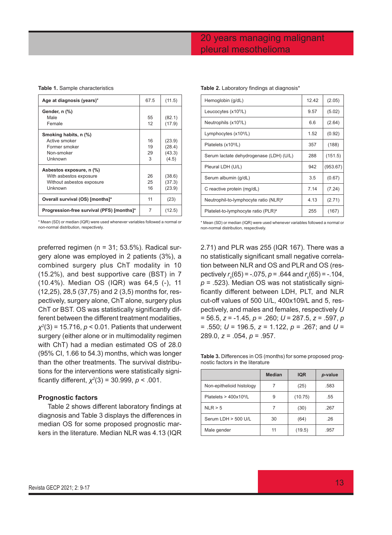# 20 years managing malignant pleural mesothelioma

#### **Table 1.** Sample characteristics

| Age at diagnosis (years)*                 | 67.5 | (11.5) |
|-------------------------------------------|------|--------|
| Gender, n (%)                             |      |        |
| Male                                      | 55   | (82.1) |
| Female                                    | 12   | (17.9) |
| Smoking habits, n (%)                     |      |        |
| Active smoker                             | 16   | (23.9) |
| Former smoker                             | 19   | (28.4) |
| Non-smoker                                | 29   | (43.3) |
| Unknown                                   | 3    | (4.5)  |
| Asbestos exposure, n (%)                  |      |        |
| With asbestos exposure                    | 26   | (38.6) |
| Without asbestos exposure                 | 25   | (37.3) |
| Unknown                                   | 16   | (23.9) |
| Overall survival (OS) [months]*           | 11   | (23)   |
| Progression-free survival (PFS) [months]* | 7    | (12.5) |

\* Mean (SD) or median (IQR) were used whenever variables followed a normal or non-normal distribution, respectively.

preferred regimen (n = 31; 53.5%). Radical surgery alone was employed in 2 patients (3%), a combined surgery plus ChT modality in 10 (15.2%), and best supportive care (BST) in 7 (10.4%). Median OS (IQR) was 64,5 (-), 11 (12,25), 28,5 (37,75) and 2 (3,5) months for, respectively, surgery alone, ChT alone, surgery plus ChT or BST. OS was statistically significantly different between the different treatment modalities, *χ2* (3) = 15.716, *p* < 0.01. Patients that underwent surgery (either alone or in multimodality regimen with ChT) had a median estimated OS of 28.0 (95% CI, 1.66 to 54.3) months, which was longer than the other treatments. The survival distributions for the interventions were statistically significantly different, *χ<sup>2</sup>* (3) = 30.999, *p* < .001.

#### **Prognostic factors**

Table 2 shows different laboratory findings at diagnosis and Table 3 displays the differences in median OS for some proposed prognostic markers in the literature. Median NLR was 4.13 (IQR

|  | Table 2. Laboratory findings at diagnosis <sup>*</sup> |  |  |  |
|--|--------------------------------------------------------|--|--|--|
|--|--------------------------------------------------------|--|--|--|

| Hemoglobin (g/dL)                                 | 12.42 | (2.05)   |
|---------------------------------------------------|-------|----------|
| Leucocytes (x10 <sup>9</sup> /L)                  | 9.57  | (5.02)   |
| Neutrophils (x10 <sup>9</sup> /L)                 | 6.6   | (2.64)   |
| Lymphocytes $(x109/L)$                            | 1.52  | (0.92)   |
| Platelets (x10 <sup>9</sup> /L)                   | 357   | (188)    |
| Serum lactate dehydrogenase (LDH) (U/L)           | 288   | (151.5)  |
| Pleural LDH (U/L)                                 | 942   | (953.67) |
| Serum albumin (g/dL)                              | 3.5   | (0.67)   |
| C reactive protein (mg/dL)                        | 7.14  | (7.24)   |
| Neutrophil-to-lymphocyte ratio (NLR) <sup>*</sup> | 4.13  | (2.71)   |
| Platelet-to-lymphocyte ratio (PLR)*               | 255   | (167)    |
|                                                   |       |          |

\* Mean (SD) or median (IQR) were used whenever variables followed a normal or non-normal distribution, respectively.

2.71) and PLR was 255 (IQR 167). There was a no statistically significant small negative correlation between NLR and OS and PLR and OS (respectively *r s* (65) = -.075, *p* = .644 and *r s* (65) = -.104, *p* = .523). Median OS was not statistically significantly different between LDH, PLT, and NLR cut-off values of 500 U/L, 400x109/L and 5, respectively, and males and females, respectively *U* = 56.5, *z* = -1.45, *p* = .260; *U* = 287.5, *z* = .597, *p* = .550; *U* = 196.5, *z* = 1.122, *p* = .267; and *U* = 289.0, *z* = .054, *p* = .957.

**Table 3.** Differences in OS (months) for some proposed prognostic factors in the literature

|                                      | <b>Median</b> | <b>IQR</b> | p-value |
|--------------------------------------|---------------|------------|---------|
| Non-epithelioid histology            |               | (25)       | .583    |
| Platelets $>$ 400x10 <sup>9</sup> /L | 9             | (10.75)    | .55     |
| NLR > 5                              |               | (30)       | .267    |
| Serum LDH > 500 U/L                  | 30            | (64)       | .26     |
| Male gender                          | 11            | (19.5)     | .957    |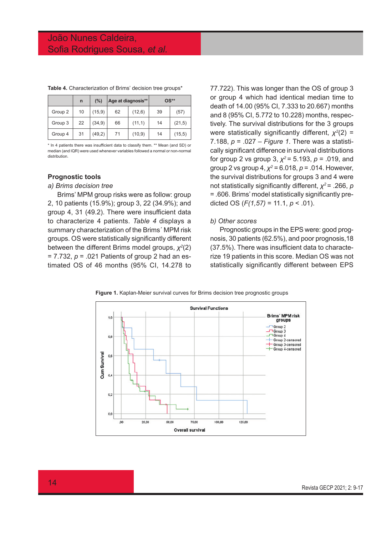|         | n  | (%)     | Age at diagnosis** |         | $OS**$ |        |
|---------|----|---------|--------------------|---------|--------|--------|
| Group 2 | 10 | (15, 9) | 62                 | (12, 6) | 39     | (57)   |
| Group 3 | 22 | (34, 9) | 66                 | (11,1)  | 14     | (21,5) |
| Group 4 | 31 | (49,2)  | 71                 | (10, 9) | 14     | (15,5) |

**Table 4.** Characterization of Brims' decision tree groups\*

\* In 4 patients there was insufficient data to classify them. \*\* Mean (and SD) or median (and IQR) were used whenever variables followed a normal or non-normal distribution.

# **Prognostic tools**

# *a) Brims decision tree*

Brims' MPM group risks were as follow: group 2, 10 patients (15.9%); group 3, 22 (34.9%); and group 4, 31 (49.2). There were insufficient data to characterize 4 patients. *Table 4* displays a summary characterization of the Brims´ MPM risk groups. OS were statistically significantly different between the different Brims model groups, *χ<sup>2</sup>* (2) = 7.732, *p* = .021 Patients of group 2 had an estimated OS of 46 months (95% CI, 14.278 to

77.722). This was longer than the OS of group 3 or group 4 which had identical median time to death of 14.00 (95% CI, 7.333 to 20.667) months and 8 (95% CI, 5.772 to 10.228) months, respectively. The survival distributions for the 3 groups were statistically significantly different, *χ<sup>2</sup>* (2) = 7.188, *p* = .027 – *Figure 1*. There was a statistically significant difference in survival distributions for group 2 vs group 3, *χ<sup>2</sup>*= 5.193, *p* = .019, and group 2 vs group 4, *χ<sup>2</sup>* = 6.018, *p* = .014. However, the survival distributions for groups 3 and 4 were not statistically significantly different, *χ<sup>2</sup>*= .266, *p* = .606. Brims' model statistically significantly predicted OS (*F(1,57)* = 11.1, *p* < .01).

#### *b) Other scores*

Prognostic groups in the EPS were: good prognosis, 30 patients (62.5%), and poor prognosis,18 (37.5%). There was insufficient data to characterize 19 patients in this score. Median OS was not statistically significantly different between EPS

**Figure 1.** Kaplan-Meier survival curves for Brims decision tree prognostic groups

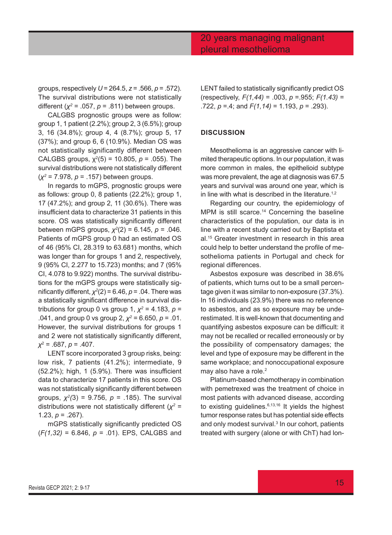groups, respectively *U* = 264.5, *z* = .566, *p* = .572). The survival distributions were not statistically different (*χ<sup>2</sup>* = .057, *p* = .811) between groups.

CALGBS prognostic groups were as follow: group 1, 1 patient (2.2%); group 2, 3 (6.5%); group 3, 16 (34.8%); group 4, 4 (8.7%); group 5, 17 (37%); and group 6, 6 (10.9%). Median OS was not statistically significantly different between CALGBS groups,  $\chi^2(5)$  = 10.805, *p* = .055). The survival distributions were not statistically different (*χ<sup>2</sup>* = 7.978, *p* = .157) between groups.

In regards to mGPS, prognostic groups were as follows: group 0, 8 patients (22.2%); group 1, 17 (47.2%); and group 2, 11 (30.6%). There was insufficient data to characterize 31 patients in this score. OS was statistically significantly different between mGPS groups, *χ<sup>2</sup>* (2) = 6.145, *p* = .046. Patients of mGPS group 0 had an estimated OS of 46 (95% CI, 28.319 to 63.681) months, which was longer than for groups 1 and 2, respectively, 9 (95% CI, 2.277 to 15.723) months; and 7 (95% CI, 4.078 to 9.922) months. The survival distributions for the mGPS groups were statistically significantly different, *χ<sup>2</sup>* (2) = 6.46, *p* = .04. There was a statistically significant difference in survival distributions for group 0 vs group 1,  $\chi^2$  = 4.183,  $\rho$  = .041, and group 0 vs group 2, *χ<sup>2</sup>* = 6.650, *p* = .01. However, the survival distributions for groups 1 and 2 were not statistically significantly different, *χ*2 = .687, *p* = .407.

LENT score incorporated 3 group risks, being: low risk, 7 patients (41.2%); intermediate, 9 (52.2%); high, 1 (5.9%). There was insufficient data to characterize 17 patients in this score. OS was not statistically significantly different between groups, *χ<sup>2</sup> (*3) = 9.756, *p* = .185). The survival distributions were not statistically different (*χ<sup>2</sup>* = 1.23,  $p = .267$ ).

mGPS statistically significantly predicted OS (*F(1,32)* = 6.846, *p* = .01). EPS, CALGBS and LENT failed to statistically significantly predict OS (respectively, *F(1,44)* = .003, *p* =.955; *F(1.43)* = .722, *p* =.4; and *F(1,14)* = 1.193, *p* = .293).

# **DISCUSSION**

Mesothelioma is an aggressive cancer with limited therapeutic options. In our population, it was more common in males, the epithelioid subtype was more prevalent, the age at diagnosis was 67.5 years and survival was around one year, which is in line with what is described in the literature.<sup>1,2</sup>

Regarding our country, the epidemiology of MPM is still scarce.<sup>14</sup> Concerning the baseline characteristics of the population, our data is in line with a recent study carried out by Baptista et al.15 Greater investment in research in this area could help to better understand the profile of mesothelioma patients in Portugal and check for regional differences.

Asbestos exposure was described in 38.6% of patients, which turns out to be a small percentage given it was similar to non-exposure (37.3%). In 16 individuals (23.9%) there was no reference to asbestos, and as so exposure may be underestimated. It is well-known that documenting and quantifying asbestos exposure can be difficult: it may not be recalled or recalled erroneously or by the possibility of compensatory damages; the level and type of exposure may be different in the same workplace; and nonoccupational exposure may also have a role.<sup>2</sup>

Platinum-based chemotherapy in combination with pemetrexed was the treatment of choice in most patients with advanced disease, according to existing guidelines.<sup>6,13,16</sup> It yields the highest tumor response rates but has potential side effects and only modest survival.<sup>3</sup> In our cohort, patients treated with surgery (alone or with ChT) had lon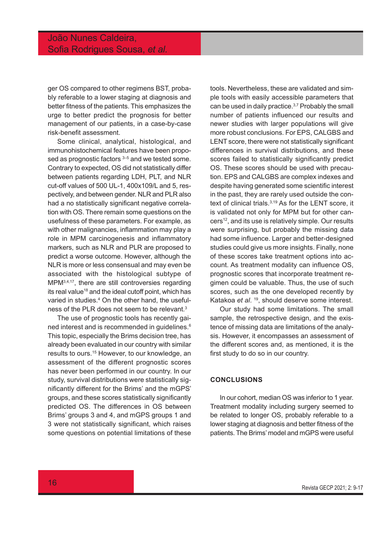ger OS compared to other regimens BST, probably referable to a lower staging at diagnosis and better fitness of the patients. This emphasizes the urge to better predict the prognosis for better management of our patients, in a case-by-case risk-benefit assessment.

Some clinical, analytical, histological, and immunohistochemical features have been proposed as prognostic factors  $3-5$  and we tested some. Contrary to expected, OS did not statistically differ between patients regarding LDH, PLT, and NLR cut-off values of 500 UL-1, 400x109/L and 5, respectively, and between gender. NLR and PLR also had a no statistically significant negative correlation with OS. There remain some questions on the usefulness of these parameters. For example, as with other malignancies, inflammation may play a role in MPM carcinogenesis and inflammatory markers, such as NLR and PLR are proposed to predict a worse outcome. However, although the NLR is more or less consensual and may even be associated with the histological subtype of MPM3,4,17, there are still controversies regarding its real value<sup>18</sup> and the ideal cutoff point, which has varied in studies.<sup>4</sup> On the other hand, the usefulness of the PLR does not seem to be relevant.3

The use of prognostic tools has recently gained interest and is recommended in guidelines.6 This topic, especially the Brims decision tree, has already been evaluated in our country with similar results to ours.<sup>15</sup> However, to our knowledge, an assessment of the different prognostic scores has never been performed in our country. In our study, survival distributions were statistically significantly different for the Brims' and the mGPS' groups, and these scores statistically significantly predicted OS. The differences in OS between Brims' groups 3 and 4, and mGPS groups 1 and 3 were not statistically significant, which raises some questions on potential limitations of these

tools. Nevertheless, these are validated and simple tools with easily accessible parameters that can be used in daily practice. $3,7$  Probably the small number of patients influenced our results and newer studies with larger populations will give more robust conclusions. For EPS, CALGBS and LENT score, there were not statistically significant differences in survival distributions, and these scores failed to statistically significantly predict OS. These scores should be used with precaution. EPS and CALGBS are complex indexes and despite having generated some scientific interest in the past, they are rarely used outside the context of clinical trials.<sup>3,19</sup> As for the LENT score, it is validated not only for MPM but for other cancers<sup>12</sup>, and its use is relatively simple. Our results were surprising, but probably the missing data had some influence. Larger and better-designed studies could give us more insights. Finally, none of these scores take treatment options into account. As treatment modality can influence OS, prognostic scores that incorporate treatment regimen could be valuable. Thus, the use of such scores, such as the one developed recently by Katakoa *et al*. 19, should deserve some interest.

Our study had some limitations. The small sample, the retrospective design, and the existence of missing data are limitations of the analysis. However, it encompasses an assessment of the different scores and, as mentioned, it is the first study to do so in our country.

# **CONCLUSIONS**

In our cohort, median OS was inferior to 1 year. Treatment modality including surgery seemed to be related to longer OS, probably referable to a lower staging at diagnosis and better fitness of the patients. The Brims' model and mGPS were useful